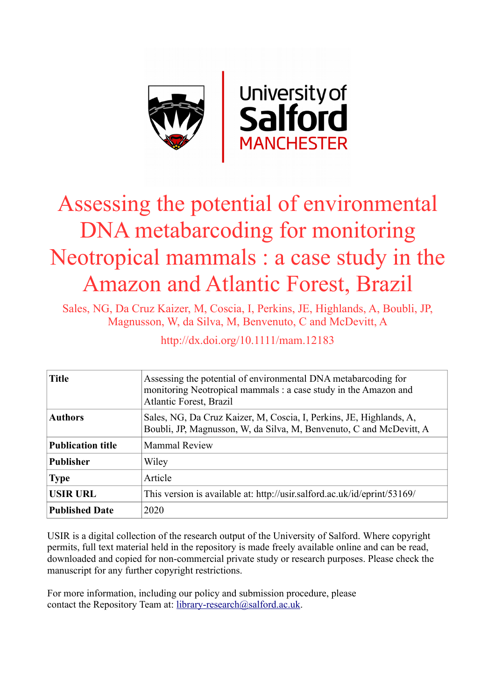

# Assessing the potential of environmental DNA metabarcoding for monitoring Neotropical mammals : a case study in the Amazon and Atlantic Forest, Brazil

Sales, NG, Da Cruz Kaizer, M, Coscia, I, Perkins, JE, Highlands, A, Boubli, JP, Magnusson, W, da Silva, M, Benvenuto, C and McDevitt, A

http://dx.doi.org/10.1111/mam.12183

| <b>Title</b>             | Assessing the potential of environmental DNA metabarcoding for<br>monitoring Neotropical mammals : a case study in the Amazon and<br>Atlantic Forest, Brazil |  |  |
|--------------------------|--------------------------------------------------------------------------------------------------------------------------------------------------------------|--|--|
| <b>Authors</b>           | Sales, NG, Da Cruz Kaizer, M, Coscia, I, Perkins, JE, Highlands, A,<br>Boubli, JP, Magnusson, W, da Silva, M, Benvenuto, C and McDevitt, A                   |  |  |
| <b>Publication title</b> | <b>Mammal Review</b>                                                                                                                                         |  |  |
| <b>Publisher</b>         | Wiley                                                                                                                                                        |  |  |
| <b>Type</b>              | Article                                                                                                                                                      |  |  |
| <b>USIR URL</b>          | This version is available at: http://usir.salford.ac.uk/id/eprint/53169/                                                                                     |  |  |
| <b>Published Date</b>    | 2020                                                                                                                                                         |  |  |

USIR is a digital collection of the research output of the University of Salford. Where copyright permits, full text material held in the repository is made freely available online and can be read, downloaded and copied for non-commercial private study or research purposes. Please check the manuscript for any further copyright restrictions.

For more information, including our policy and submission procedure, please contact the Repository Team at: [library-research@salford.ac.uk.](mailto:library-research@salford.ac.uk)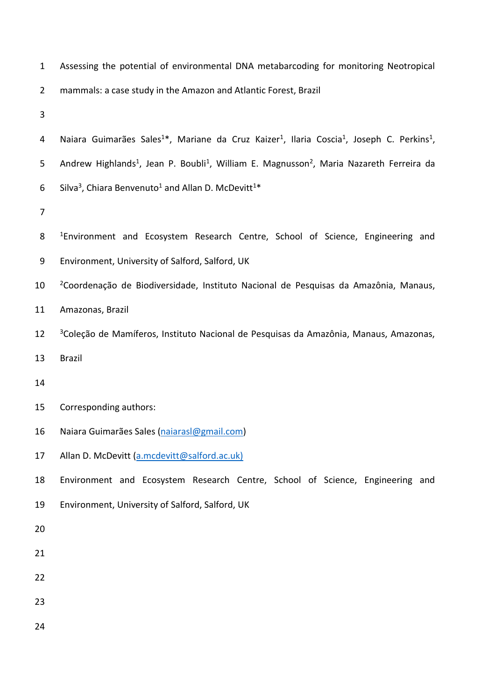| $\mathbf{1}$   | Assessing the potential of environmental DNA metabarcoding for monitoring Neotropical                                                      |  |  |  |
|----------------|--------------------------------------------------------------------------------------------------------------------------------------------|--|--|--|
| $\overline{2}$ | mammals: a case study in the Amazon and Atlantic Forest, Brazil                                                                            |  |  |  |
| 3              |                                                                                                                                            |  |  |  |
| 4              | Naiara Guimarães Sales <sup>1*</sup> , Mariane da Cruz Kaizer <sup>1</sup> , Ilaria Coscia <sup>1</sup> , Joseph C. Perkins <sup>1</sup> , |  |  |  |
| 5              | Andrew Highlands <sup>1</sup> , Jean P. Boubli <sup>1</sup> , William E. Magnusson <sup>2</sup> , Maria Nazareth Ferreira da               |  |  |  |
| 6              | Silva <sup>3</sup> , Chiara Benvenuto <sup>1</sup> and Allan D. McDevitt <sup>1*</sup>                                                     |  |  |  |
| 7              |                                                                                                                                            |  |  |  |
| 8              | <sup>1</sup> Environment and Ecosystem Research Centre, School of Science, Engineering and                                                 |  |  |  |
| 9              | Environment, University of Salford, Salford, UK                                                                                            |  |  |  |
| 10             | <sup>2</sup> Coordenação de Biodiversidade, Instituto Nacional de Pesquisas da Amazônia, Manaus,                                           |  |  |  |
| 11             | Amazonas, Brazil                                                                                                                           |  |  |  |
| 12             | <sup>3</sup> Coleção de Mamíferos, Instituto Nacional de Pesquisas da Amazônia, Manaus, Amazonas,                                          |  |  |  |
| 13             | <b>Brazil</b>                                                                                                                              |  |  |  |
| 14             |                                                                                                                                            |  |  |  |
| 15             | Corresponding authors:                                                                                                                     |  |  |  |
| 16             | Naiara Guimarães Sales (naiarasl@gmail.com)                                                                                                |  |  |  |
| 17             | Allan D. McDevitt (a.mcdevitt@salford.ac.uk)                                                                                               |  |  |  |
| 18             | Environment and Ecosystem Research Centre, School of Science, Engineering and                                                              |  |  |  |
| 19             | Environment, University of Salford, Salford, UK                                                                                            |  |  |  |
| 20             |                                                                                                                                            |  |  |  |
| 21             |                                                                                                                                            |  |  |  |
| 22             |                                                                                                                                            |  |  |  |
| 23             |                                                                                                                                            |  |  |  |
| 24             |                                                                                                                                            |  |  |  |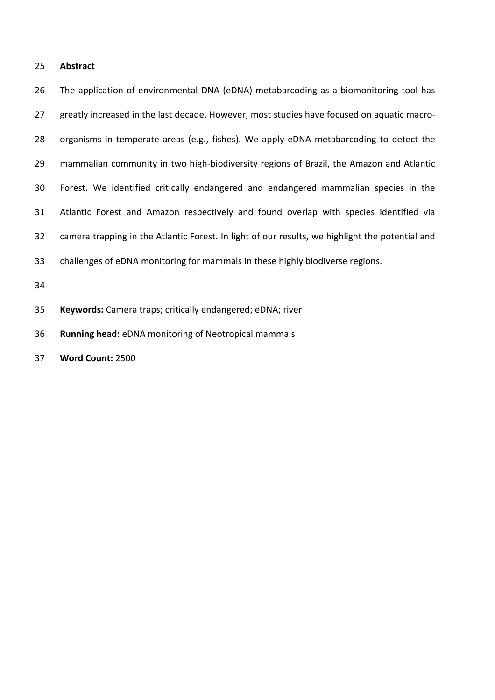### **Abstract**

 The application of environmental DNA (eDNA) metabarcoding as a biomonitoring tool has greatly increased in the last decade. However, most studies have focused on aquatic macro- organisms in temperate areas (e.g., fishes). We apply eDNA metabarcoding to detect the mammalian community in two high-biodiversity regions of Brazil, the Amazon and Atlantic Forest. We identified critically endangered and endangered mammalian species in the Atlantic Forest and Amazon respectively and found overlap with species identified via camera trapping in the Atlantic Forest. In light of our results, we highlight the potential and challenges of eDNA monitoring for mammals in these highly biodiverse regions.

**Keywords:** Camera traps; critically endangered; eDNA; river

**Running head:** eDNA monitoring of Neotropical mammals

**Word Count:** 2500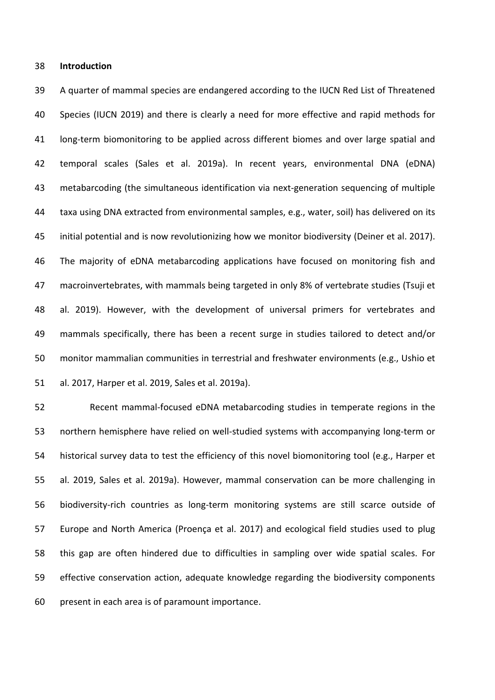#### **Introduction**

 A quarter of mammal species are endangered according to the IUCN Red List of Threatened Species (IUCN 2019) and there is clearly a need for more effective and rapid methods for long-term biomonitoring to be applied across different biomes and over large spatial and temporal scales (Sales et al. 2019a). In recent years, environmental DNA (eDNA) metabarcoding (the simultaneous identification via next-generation sequencing of multiple taxa using DNA extracted from environmental samples, e.g., water, soil) has delivered on its initial potential and is now revolutionizing how we monitor biodiversity (Deiner et al. 2017). The majority of eDNA metabarcoding applications have focused on monitoring fish and macroinvertebrates, with mammals being targeted in only 8% of vertebrate studies (Tsuji et al. 2019). However, with the development of universal primers for vertebrates and mammals specifically, there has been a recent surge in studies tailored to detect and/or monitor mammalian communities in terrestrial and freshwater environments (e.g., Ushio et al. 2017, Harper et al. 2019, Sales et al. 2019a).

 Recent mammal-focused eDNA metabarcoding studies in temperate regions in the northern hemisphere have relied on well-studied systems with accompanying long-term or historical survey data to test the efficiency of this novel biomonitoring tool (e.g., Harper et al. 2019, Sales et al. 2019a). However, mammal conservation can be more challenging in biodiversity-rich countries as long-term monitoring systems are still scarce outside of Europe and North America (Proença et al. 2017) and ecological field studies used to plug this gap are often hindered due to difficulties in sampling over wide spatial scales. For effective conservation action, adequate knowledge regarding the biodiversity components present in each area is of paramount importance.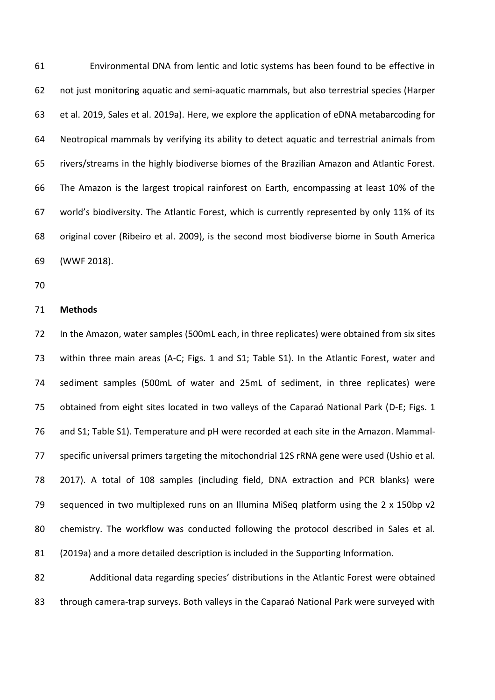Environmental DNA from lentic and lotic systems has been found to be effective in not just monitoring aquatic and semi-aquatic mammals, but also terrestrial species (Harper et al. 2019, Sales et al. 2019a). Here, we explore the application of eDNA metabarcoding for Neotropical mammals by verifying its ability to detect aquatic and terrestrial animals from rivers/streams in the highly biodiverse biomes of the Brazilian Amazon and Atlantic Forest. The Amazon is the largest tropical rainforest on Earth, encompassing at least 10% of the world's biodiversity. The Atlantic Forest, which is currently represented by only 11% of its original cover (Ribeiro et al. 2009), is the second most biodiverse biome in South America (WWF 2018).

#### **Methods**

 In the Amazon, water samples (500mL each, in three replicates) were obtained from six sites within three main areas (A-C; Figs. 1 and S1; Table S1). In the Atlantic Forest, water and sediment samples (500mL of water and 25mL of sediment, in three replicates) were obtained from eight sites located in two valleys of the Caparaó National Park (D-E; Figs. 1 and S1; Table S1). Temperature and pH were recorded at each site in the Amazon. Mammal- specific universal primers targeting the mitochondrial 12S rRNA gene were used (Ushio et al. 2017). A total of 108 samples (including field, DNA extraction and PCR blanks) were sequenced in two multiplexed runs on an Illumina MiSeq platform using the 2 x 150bp v2 chemistry. The workflow was conducted following the protocol described in Sales et al. (2019a) and a more detailed description is included in the Supporting Information.

 Additional data regarding species' distributions in the Atlantic Forest were obtained through camera-trap surveys. Both valleys in the Caparaó National Park were surveyed with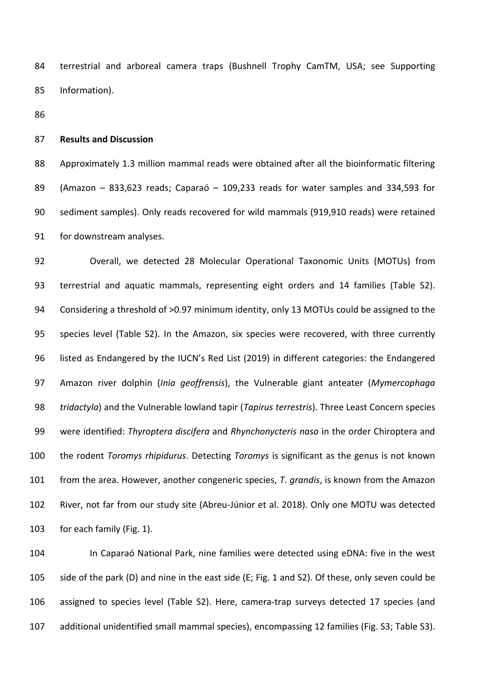terrestrial and arboreal camera traps (Bushnell Trophy CamTM, USA; see Supporting Information).

#### **Results and Discussion**

 Approximately 1.3 million mammal reads were obtained after all the bioinformatic filtering (Amazon – 833,623 reads; Caparaó – 109,233 reads for water samples and 334,593 for sediment samples). Only reads recovered for wild mammals (919,910 reads) were retained for downstream analyses.

 Overall, we detected 28 Molecular Operational Taxonomic Units (MOTUs) from terrestrial and aquatic mammals, representing eight orders and 14 families (Table S2). Considering a threshold of >0.97 minimum identity, only 13 MOTUs could be assigned to the species level (Table S2). In the Amazon, six species were recovered, with three currently listed as Endangered by the IUCN's Red List (2019) in different categories: the Endangered Amazon river dolphin (*Inia geoffrensis*), the Vulnerable giant anteater (*Mymercophaga tridactyla*) and the Vulnerable lowland tapir (*Tapirus terrestris*). Three Least Concern species were identified: *Thyroptera discifera* and *Rhynchonycteris naso* in the order Chiroptera and the rodent *Toromys rhipidurus*. Detecting *Toromys* is significant as the genus is not known from the area. However, another congeneric species, *T. grandis*, is known from the Amazon River, not far from our study site (Abreu-Júnior et al. 2018). Only one MOTU was detected for each family (Fig. 1).

 In Caparaó National Park, nine families were detected using eDNA: five in the west side of the park (D) and nine in the east side (E; Fig. 1 and S2). Of these, only seven could be assigned to species level (Table S2). Here, camera-trap surveys detected 17 species (and additional unidentified small mammal species), encompassing 12 families (Fig. S3; Table S3).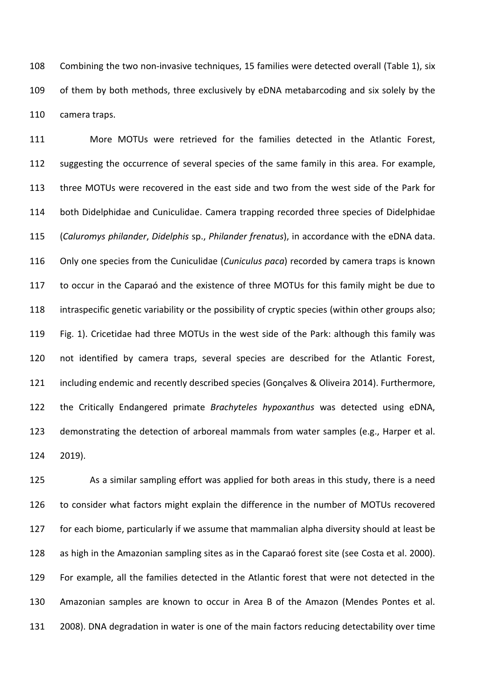Combining the two non-invasive techniques, 15 families were detected overall (Table 1), six of them by both methods, three exclusively by eDNA metabarcoding and six solely by the camera traps.

 More MOTUs were retrieved for the families detected in the Atlantic Forest, 112 suggesting the occurrence of several species of the same family in this area. For example, three MOTUs were recovered in the east side and two from the west side of the Park for both Didelphidae and Cuniculidae. Camera trapping recorded three species of Didelphidae (*Caluromys philander*, *Didelphis* sp., *Philander frenatus*), in accordance with the eDNA data. Only one species from the Cuniculidae (*Cuniculus paca*) recorded by camera traps is known to occur in the Caparaó and the existence of three MOTUs for this family might be due to intraspecific genetic variability or the possibility of cryptic species (within other groups also; Fig. 1). Cricetidae had three MOTUs in the west side of the Park: although this family was not identified by camera traps, several species are described for the Atlantic Forest, including endemic and recently described species (Gonçalves & Oliveira 2014). Furthermore, the Critically Endangered primate *Brachyteles hypoxanthus* was detected using eDNA, demonstrating the detection of arboreal mammals from water samples (e.g., Harper et al. 2019).

 As a similar sampling effort was applied for both areas in this study, there is a need to consider what factors might explain the difference in the number of MOTUs recovered for each biome, particularly if we assume that mammalian alpha diversity should at least be as high in the Amazonian sampling sites as in the Caparaó forest site (see Costa et al. 2000). For example, all the families detected in the Atlantic forest that were not detected in the Amazonian samples are known to occur in Area B of the Amazon (Mendes Pontes et al. 2008). DNA degradation in water is one of the main factors reducing detectability over time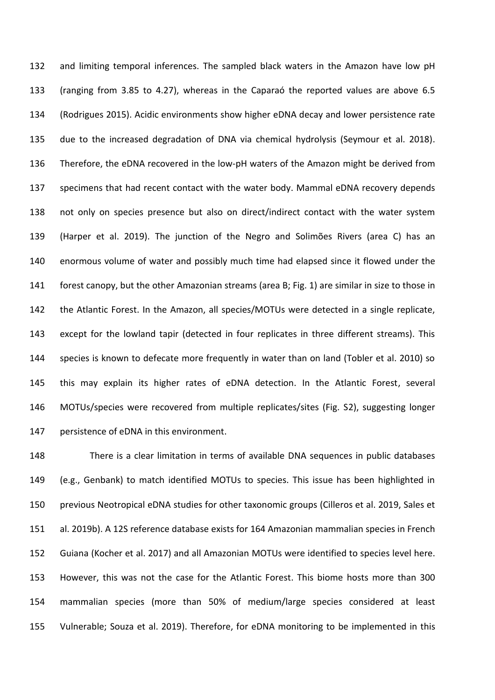and limiting temporal inferences. The sampled black waters in the Amazon have low pH (ranging from 3.85 to 4.27), whereas in the Caparaó the reported values are above 6.5 (Rodrigues 2015). Acidic environments show higher eDNA decay and lower persistence rate due to the increased degradation of DNA via chemical hydrolysis (Seymour et al. 2018). Therefore, the eDNA recovered in the low-pH waters of the Amazon might be derived from specimens that had recent contact with the water body. Mammal eDNA recovery depends not only on species presence but also on direct/indirect contact with the water system (Harper et al. 2019). The junction of the Negro and Solimões Rivers (area C) has an enormous volume of water and possibly much time had elapsed since it flowed under the forest canopy, but the other Amazonian streams (area B; Fig. 1) are similar in size to those in the Atlantic Forest. In the Amazon, all species/MOTUs were detected in a single replicate, except for the lowland tapir (detected in four replicates in three different streams). This species is known to defecate more frequently in water than on land (Tobler et al. 2010) so this may explain its higher rates of eDNA detection. In the Atlantic Forest, several MOTUs/species were recovered from multiple replicates/sites (Fig. S2), suggesting longer persistence of eDNA in this environment.

 There is a clear limitation in terms of available DNA sequences in public databases (e.g., Genbank) to match identified MOTUs to species. This issue has been highlighted in previous Neotropical eDNA studies for other taxonomic groups (Cilleros et al. 2019, Sales et al. 2019b). A 12S reference database exists for 164 Amazonian mammalian species in French Guiana (Kocher et al. 2017) and all Amazonian MOTUs were identified to species level here. However, this was not the case for the Atlantic Forest. This biome hosts more than 300 mammalian species (more than 50% of medium/large species considered at least Vulnerable; Souza et al. 2019). Therefore, for eDNA monitoring to be implemented in this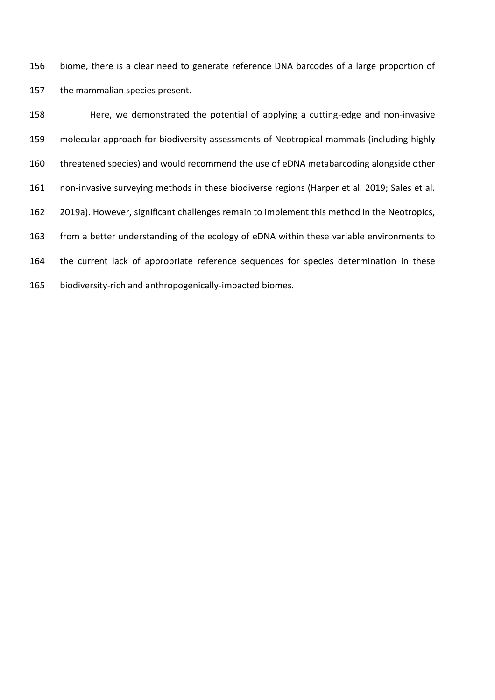biome, there is a clear need to generate reference DNA barcodes of a large proportion of the mammalian species present.

 Here, we demonstrated the potential of applying a cutting-edge and non-invasive molecular approach for biodiversity assessments of Neotropical mammals (including highly threatened species) and would recommend the use of eDNA metabarcoding alongside other non-invasive surveying methods in these biodiverse regions (Harper et al. 2019; Sales et al. 2019a). However, significant challenges remain to implement this method in the Neotropics, from a better understanding of the ecology of eDNA within these variable environments to the current lack of appropriate reference sequences for species determination in these biodiversity-rich and anthropogenically-impacted biomes.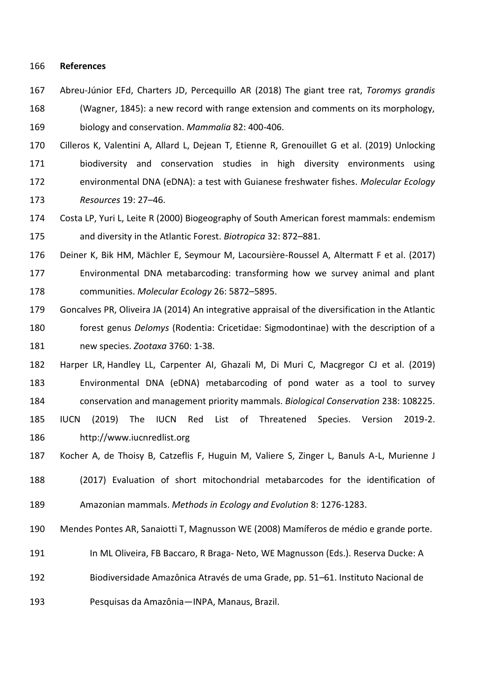#### **References**

 Abreu-Júnior EFd, Charters JD, Percequillo AR (2018) The giant tree rat, *Toromys grandis*  (Wagner, 1845): a new record with range extension and comments on its morphology, biology and conservation. *Mammalia* 82: 400-406.

 Cilleros K, Valentini A, Allard L, Dejean T, Etienne R, Grenouillet G et al. (2019) Unlocking biodiversity and conservation studies in high diversity environments using environmental DNA (eDNA): a test with Guianese freshwater fishes. *Molecular Ecology Resources* 19: 27–46.

 Costa LP, Yuri L, Leite R (2000) Biogeography of South American forest mammals: endemism and diversity in the Atlantic Forest. *Biotropica* 32: 872–881.

Deiner K, Bik HM, Mächler E, Seymour M, Lacoursière-Roussel A, Altermatt F et al. (2017)

 Environmental DNA metabarcoding: transforming how we survey animal and plant communities. *Molecular Ecology* 26: 5872–5895.

- Goncalves PR, Oliveira JA (2014) An integrative appraisal of the diversification in the Atlantic forest genus *Delomys* (Rodentia: Cricetidae: Sigmodontinae) with the description of a new species. *Zootaxa* 3760: 1-38.
- Harper LR, Handley LL, Carpenter AI, Ghazali M, Di Muri C, Macgregor CJ et al. (2019) Environmental DNA (eDNA) metabarcoding of pond water as a tool to survey conservation and management priority mammals. *Biological Conservation* 238: 108225.
- IUCN (2019) The IUCN Red List of Threatened Species. Version 2019-2. http://www.iucnredlist.org
- Kocher A, de Thoisy B, Catzeflis F, Huguin M, Valiere S, Zinger L, Banuls A-L, Murienne J
- (2017) Evaluation of short mitochondrial metabarcodes for the identification of Amazonian mammals. *Methods in Ecology and Evolution* 8: 1276-1283.
- Mendes Pontes AR, Sanaiotti T, Magnusson WE (2008) Mamíferos de médio e grande porte.
- In ML Oliveira, FB Baccaro, R Braga- Neto, WE Magnusson (Eds.). Reserva Ducke: A
- Biodiversidade Amazônica Através de uma Grade, pp. 51–61. Instituto Nacional de

Pesquisas da Amazônia—INPA, Manaus, Brazil.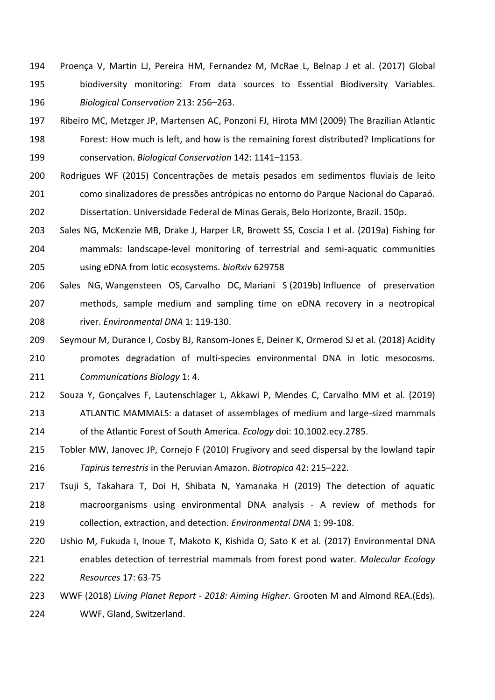- Proença V, Martin LJ, Pereira HM, Fernandez M, McRae L, Belnap J et al. (2017) Global biodiversity monitoring: From data sources to Essential Biodiversity Variables. *Biological Conservation* 213: 256–263.
- Ribeiro MC, Metzger JP, Martensen AC, Ponzoni FJ, Hirota MM (2009) The Brazilian Atlantic Forest: How much is left, and how is the remaining forest distributed? Implications for conservation. *Biological Conservation* 142: 1141–1153.
- Rodrigues WF (2015) Concentrações de metais pesados em sedimentos fluviais de leito como sinalizadores de pressões antrópicas no entorno do Parque Nacional do Caparaó. Dissertation. Universidade Federal de Minas Gerais, Belo Horizonte, Brazil. 150p.
- Sales NG, McKenzie MB, Drake J, Harper LR, Browett SS, Coscia I et al. (2019a) Fishing for mammals: landscape-level monitoring of terrestrial and semi-aquatic communities using eDNA from lotic ecosystems. *bioRxiv* 629758
- Sales NG, Wangensteen OS, Carvalho DC, Mariani S (2019b) Influence of preservation methods, sample medium and sampling time on eDNA recovery in a neotropical river. *Environmental DNA* 1: 119-130.
- Seymour M, Durance I, Cosby BJ, Ransom-Jones E, Deiner K, Ormerod SJ et al. (2018) Acidity promotes degradation of multi-species environmental DNA in lotic mesocosms. *Communications Biology* 1: 4.
- Souza Y, Gonçalves F, Lautenschlager L, Akkawi P, Mendes C, Carvalho MM et al. (2019) ATLANTIC MAMMALS: a dataset of assemblages of medium and large-sized mammals of the Atlantic Forest of South America. *Ecology* doi: 10.1002.ecy.2785.
- Tobler MW, Janovec JP, Cornejo F (2010) Frugivory and seed dispersal by the lowland tapir *Tapirus terrestris* in the Peruvian Amazon. *Biotropica* 42: 215–222.
- Tsuji S, Takahara T, Doi H, Shibata N, Yamanaka H (2019) The detection of aquatic macroorganisms using environmental DNA analysis - A review of methods for collection, extraction, and detection. *Environmental DNA* 1: 99-108.
- Ushio M, Fukuda I, Inoue T, Makoto K, Kishida O, Sato K et al. (2017) Environmental DNA enables detection of terrestrial mammals from forest pond water. *Molecular Ecology Resources* 17: 63-75
- WWF (2018) *Living Planet Report - 2018: Aiming Higher*. Grooten M and Almond REA.(Eds). WWF, Gland, Switzerland.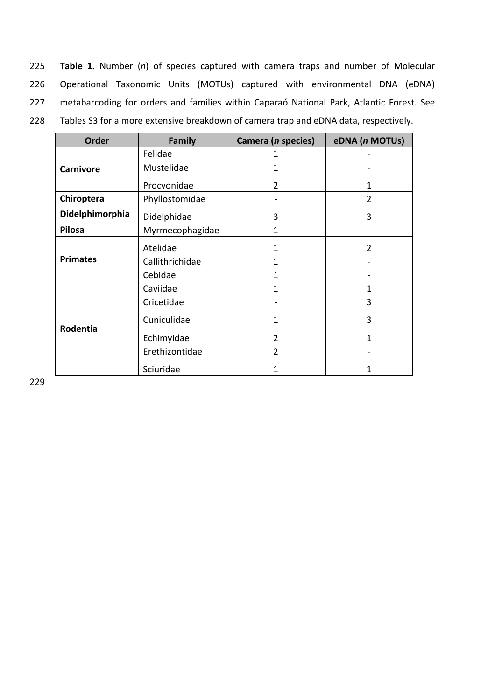225 **Table 1.** Number (*n*) of species captured with camera traps and number of Molecular 226 Operational Taxonomic Units (MOTUs) captured with environmental DNA (eDNA) 227 metabarcoding for orders and families within Caparaó National Park, Atlantic Forest. See

228 Tables S3 for a more extensive breakdown of camera trap and eDNA data, respectively.

| <b>Order</b>     | <b>Family</b>   | Camera (n species) | eDNA (n MOTUs) |
|------------------|-----------------|--------------------|----------------|
|                  | Felidae         | 1                  |                |
| <b>Carnivore</b> | Mustelidae      |                    |                |
|                  | Procyonidae     | 2                  | 1              |
| Chiroptera       | Phyllostomidae  |                    | $\overline{2}$ |
| Didelphimorphia  | Didelphidae     | 3                  | 3              |
| <b>Pilosa</b>    | Myrmecophagidae | 1                  |                |
|                  | Atelidae        | 1                  | $\overline{2}$ |
| <b>Primates</b>  | Callithrichidae | 1                  |                |
|                  | Cebidae         | 1                  |                |
|                  | Caviidae        | 1                  | 1              |
|                  | Cricetidae      |                    | 3              |
| Rodentia         | Cuniculidae     | 1                  | 3              |
|                  | Echimyidae      | 2                  | 1              |
|                  | Erethizontidae  | $\overline{2}$     |                |
|                  | Sciuridae       |                    |                |

229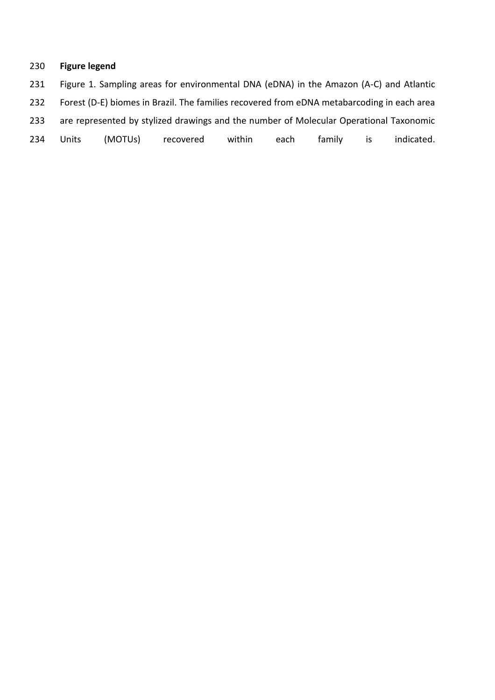## **Figure legend**

 Figure 1. Sampling areas for environmental DNA (eDNA) in the Amazon (A-C) and Atlantic Forest (D-E) biomes in Brazil. The families recovered from eDNA metabarcoding in each area are represented by stylized drawings and the number of Molecular Operational Taxonomic Units (MOTUs) recovered within each family is indicated.